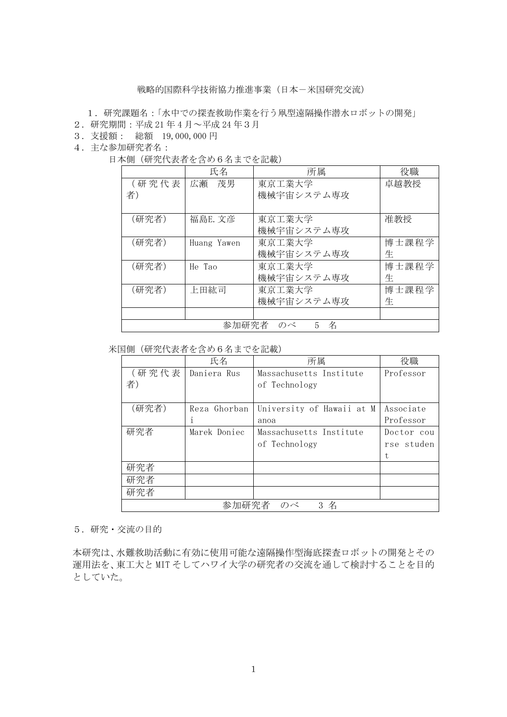## 戦略的国際科学技術協力推進事業(日本-米国研究交流)

- 1.研究課題名:「水中での探査救助作業を行う凧型遠隔操作潜水ロボットの開発」
- 2.研究期間:平成 21 年 4 月~平成 24 年3月
- 3.支援額: 総額 19,000,000 円
- 4.主な参加研究者名:
	- 日本側(研究代表者を含め6名までを記載)

|                       | 氏名          | 所属         | 役職    |  |
|-----------------------|-------------|------------|-------|--|
| (研究代表                 | 広瀬<br>茂男    | 東京工業大学     | 卓越教授  |  |
| 者)                    |             | 機械宇宙システム専攻 |       |  |
|                       |             |            |       |  |
| (研究者)                 | 福島E. 文彦     | 東京工業大学     | 准教授   |  |
|                       |             | 機械宇宙システム専攻 |       |  |
| (研究者)                 | Huang Yawen | 東京工業大学     | 博士課程学 |  |
|                       |             | 機械宇宙システム専攻 | 生     |  |
| (研究者)                 | He Tao      | 東京工業大学     | 博士課程学 |  |
|                       |             | 機械宇宙システム専攻 | 生     |  |
| (研究者)                 | 上田紘司        | 東京工業大学     | 博士課程学 |  |
|                       |             | 機械宇宙システム専攻 | 生     |  |
|                       |             |            |       |  |
| 参加研究者<br>のべ<br>名<br>5 |             |            |       |  |

## 米国側(研究代表者を含め6名までを記載)

|                 | 氏名           | 所属                        | 役職         |  |
|-----------------|--------------|---------------------------|------------|--|
| (研究代表           | Daniera Rus  | Massachusetts Institute   | Professor  |  |
| 者)              |              | of Technology             |            |  |
|                 |              |                           |            |  |
| (研究者)           | Reza Ghorban | University of Hawaii at M | Associate  |  |
|                 |              | anoa                      | Professor  |  |
| 研究者             | Marek Doniec | Massachusetts Institute   | Doctor cou |  |
|                 |              | of Technology             | rse studen |  |
|                 |              |                           | t          |  |
| 研究者             |              |                           |            |  |
| 研究者             |              |                           |            |  |
| 研究者             |              |                           |            |  |
| 参加研究者<br>名<br>3 |              |                           |            |  |

5.研究・交流の目的

本研究は、水難救助活動に有効に使用可能な遠隔操作型海底探査ロボットの開発とその 運用法を、東工大と MIT そしてハワイ大学の研究者の交流を通して検討することを目的 としていた。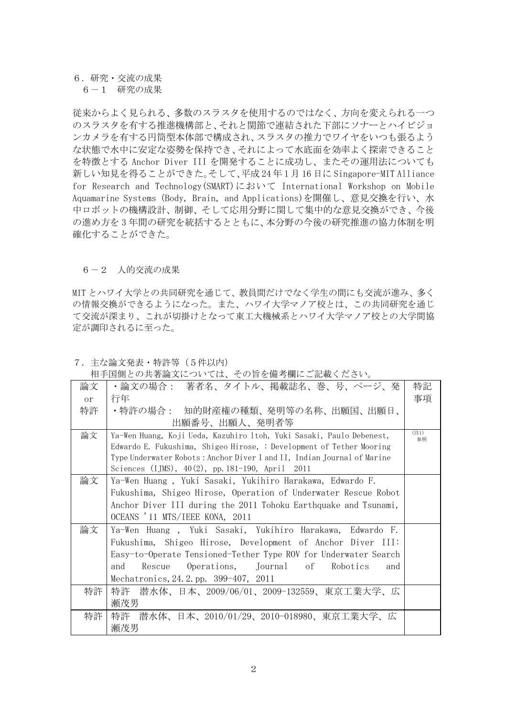## 6.研究・交流の成果

6-1 研究の成果

従来からよく見られる、多数のスラスタを使用するのではなく、方向を変えられる一つ のスラスタを有する推進機構部と、それと関節で連結された下部にソナーとハイビジョ ンカメラを有する円筒型本体部で構成され、スラスタの推力でワイヤをいつも張るよう な状態で水中に安定な姿勢を保持でき、それによって水底面を効率よく探索できること を特徴とする Anchor Diver III を開発することに成功し、またその運用法についても 新しい知見を得ることができた。そして、平成 24 年 1 月 16 日に Singapore-MIT Alliance for Research and Technology(SMART)において International Workshop on Mobile Aquamarine Systems (Body, Brain, and Applications)を開催し、意見交換を行い、水 中ロボットの機構設計、制御、そして応用分野に関して集中的な意見交換ができ、今後 の進め方を 3 年間の研究を統括するとともに、本分野の今後の研究推進の協力体制を明 確化することができた。

## 6-2 人的交流の成果

MIT とハワイ大学との共同研究を通じて、教員間だけでなく学生の間にも交流が進み、多く の情報交換ができるようになった。また、ハワイ大学マノア校とは、この共同研究を通じ て交流が深まり、これが切掛けとなって東工大機械系とハワイ大学マノア校との大学間協 定が調印されるに至った。

<sup>7.</sup>主な論文発表・特許等(5件以内)

| 論文            | ・論文の場合: 著者名、タイトル、掲載誌名、巻、号、ページ、発                                         | 特記         |  |  |  |
|---------------|-------------------------------------------------------------------------|------------|--|--|--|
| <sub>or</sub> | 行年                                                                      | 事項         |  |  |  |
| 特許            | ・特許の場合:―知的財産権の種類、発明等の名称、出願国、出願日、                                        |            |  |  |  |
|               | 出願番号、出願人、発明者等                                                           |            |  |  |  |
| 論文            | Ya-Wen Huang, Koji Ueda, Kazuhiro 1toh, Yuki Sasaki, Paulo Debenest,    | (注1)<br>参照 |  |  |  |
|               | Edwardo E. Fukushima, Shigeo Hirose, : Development of Tether Mooring    |            |  |  |  |
|               | Type Underwater Robots: Anchor Diver I and II, Indian Journal of Marine |            |  |  |  |
|               | Sciences (IJMS), $40(2)$ , pp. 181-190, April 2011                      |            |  |  |  |
| 論文            | Ya-Wen Huang, Yuki Sasaki, Yukihiro Harakawa, Edwardo F.                |            |  |  |  |
|               | Fukushima, Shigeo Hirose, Operation of Underwater Rescue Robot          |            |  |  |  |
|               | Anchor Diver III during the 2011 Tohoku Earthquake and Tsunami,         |            |  |  |  |
|               | OCEANS '11 MTS/IEEE KONA, 2011                                          |            |  |  |  |
| 論文            | Ya-Wen Huang, Yuki Sasaki, Yukihiro Harakawa, Edwardo F.                |            |  |  |  |
|               | Fukushima, Shigeo Hirose, Development of Anchor Diver III:              |            |  |  |  |
|               | Easy-to-Operate Tensioned-Tether Type ROV for Underwater Search         |            |  |  |  |
|               | Rescue Operations, Journal of Robotics<br>and<br>and                    |            |  |  |  |
|               | Mechatronics, 24.2.pp. 399-407, 2011                                    |            |  |  |  |
| 特許            | 潜水体、日本、2009/06/01、2009-132559、東京工業大学、広<br>特許                            |            |  |  |  |
|               | 瀬茂男                                                                     |            |  |  |  |
| 特許            | 特許 潜水体、日本、2010/01/29、2010-018980、東京工業大学、広                               |            |  |  |  |
|               | 瀬茂男                                                                     |            |  |  |  |